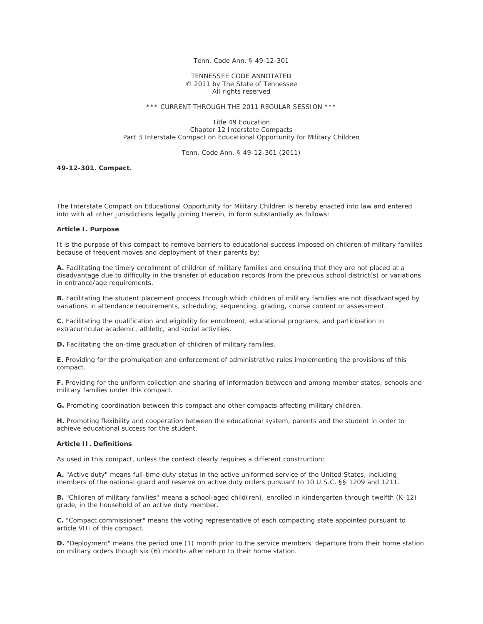# *Tenn. Code Ann. § 49-12-301*

### TENNESSEE CODE ANNOTATED © 2011 by The State of Tennessee All rights reserved

### \*\*\* CURRENT THROUGH THE 2011 REGULAR SESSION \*\*\*

Title 49 Education Chapter 12 Interstate Compacts Part 3 Interstate Compact on Educational Opportunity for Military Children

## Tenn. Code Ann. § 49-12-301 (2011)

### **49-12-301. Compact.**

The Interstate Compact on Educational Opportunity for Military Children is hereby enacted into law and entered into with all other jurisdictions legally joining therein, in form substantially as follows:

# **Article I. Purpose**

It is the purpose of this compact to remove barriers to educational success imposed on children of military families because of frequent moves and deployment of their parents by:

**A.** Facilitating the timely enrollment of children of military families and ensuring that they are not placed at a disadvantage due to difficulty in the transfer of education records from the previous school district(s) or variations in entrance/age requirements.

**B.** Facilitating the student placement process through which children of military families are not disadvantaged by variations in attendance requirements, scheduling, sequencing, grading, course content or assessment.

**C.** Facilitating the qualification and eligibility for enrollment, educational programs, and participation in extracurricular academic, athletic, and social activities.

**D.** Facilitating the on-time graduation of children of military families.

**E.** Providing for the promulgation and enforcement of administrative rules implementing the provisions of this compact.

**F.** Providing for the uniform collection and sharing of information between and among member states, schools and military families under this compact.

**G.** Promoting coordination between this compact and other compacts affecting military children.

**H.** Promoting flexibility and cooperation between the educational system, parents and the student in order to achieve educational success for the student.

### **Article II. Definitions**

As used in this compact, unless the context clearly requires a different construction:

**A.** "Active duty" means full-time duty status in the active uniformed service of the United States, including members of the national guard and reserve on active duty orders pursuant to 10 U.S.C. §§ 1209 and 1211.

**B.** "Children of military families" means a school-aged child(ren), enrolled in kindergarten through twelfth (K-12) grade, in the household of an active duty member.

**C.** "Compact commissioner" means the voting representative of each compacting state appointed pursuant to article VIII of this compact.

**D.** "Deployment" means the period one (1) month prior to the service members' departure from their home station on military orders though six (6) months after return to their home station.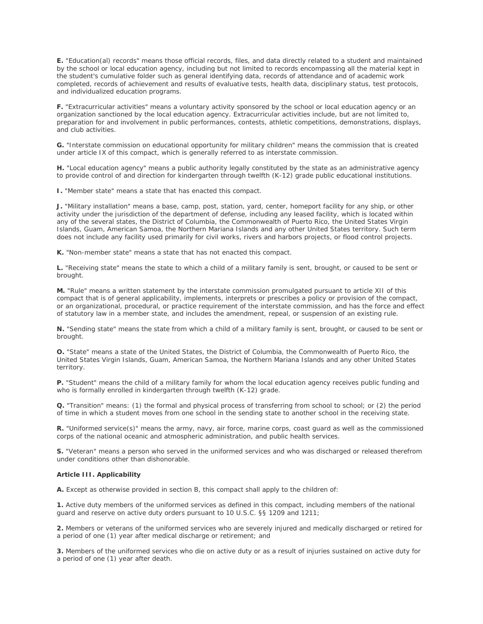**E.** "Education(al) records" means those official records, files, and data directly related to a student and maintained by the school or local education agency, including but not limited to records encompassing all the material kept in the student's cumulative folder such as general identifying data, records of attendance and of academic work completed, records of achievement and results of evaluative tests, health data, disciplinary status, test protocols, and individualized education programs.

**F.** "Extracurricular activities" means a voluntary activity sponsored by the school or local education agency or an organization sanctioned by the local education agency. Extracurricular activities include, but are not limited to, preparation for and involvement in public performances, contests, athletic competitions, demonstrations, displays, and club activities.

**G.** "Interstate commission on educational opportunity for military children" means the commission that is created under article IX of this compact, which is generally referred to as interstate commission.

**H.** "Local education agency" means a public authority legally constituted by the state as an administrative agency to provide control of and direction for kindergarten through twelfth (K-12) grade public educational institutions.

**I.** "Member state" means a state that has enacted this compact.

**J.** "Military installation" means a base, camp, post, station, yard, center, homeport facility for any ship, or other activity under the jurisdiction of the department of defense, including any leased facility, which is located within any of the several states, the District of Columbia, the Commonwealth of Puerto Rico, the United States Virgin Islands, Guam, American Samoa, the Northern Mariana Islands and any other United States territory. Such term does not include any facility used primarily for civil works, rivers and harbors projects, or flood control projects.

**K.** "Non-member state" means a state that has not enacted this compact.

**L.** "Receiving state" means the state to which a child of a military family is sent, brought, or caused to be sent or brought.

**M.** "Rule" means a written statement by the interstate commission promulgated pursuant to article XII of this compact that is of general applicability, implements, interprets or prescribes a policy or provision of the compact, or an organizational, procedural, or practice requirement of the interstate commission, and has the force and effect of statutory law in a member state, and includes the amendment, repeal, or suspension of an existing rule.

**N.** "Sending state" means the state from which a child of a military family is sent, brought, or caused to be sent or brought.

**O.** "State" means a state of the United States, the District of Columbia, the Commonwealth of Puerto Rico, the United States Virgin Islands, Guam, American Samoa, the Northern Mariana Islands and any other United States territory.

**P.** "Student" means the child of a military family for whom the local education agency receives public funding and who is formally enrolled in kindergarten through twelfth (K-12) grade.

**Q.** "Transition" means: (1) the formal and physical process of transferring from school to school; or (2) the period of time in which a student moves from one school in the sending state to another school in the receiving state.

**R.** "Uniformed service(s)" means the army, navy, air force, marine corps, coast guard as well as the commissioned corps of the national oceanic and atmospheric administration, and public health services.

**S.** "Veteran" means a person who served in the uniformed services and who was discharged or released therefrom under conditions other than dishonorable.

### **Article III. Applicability**

**A.** Except as otherwise provided in section B, this compact shall apply to the children of:

**1.** Active duty members of the uniformed services as defined in this compact, including members of the national guard and reserve on active duty orders pursuant to 10 U.S.C. §§ 1209 and 1211;

**2.** Members or veterans of the uniformed services who are severely injured and medically discharged or retired for a period of one (1) year after medical discharge or retirement; and

**3.** Members of the uniformed services who die on active duty or as a result of injuries sustained on active duty for a period of one (1) year after death.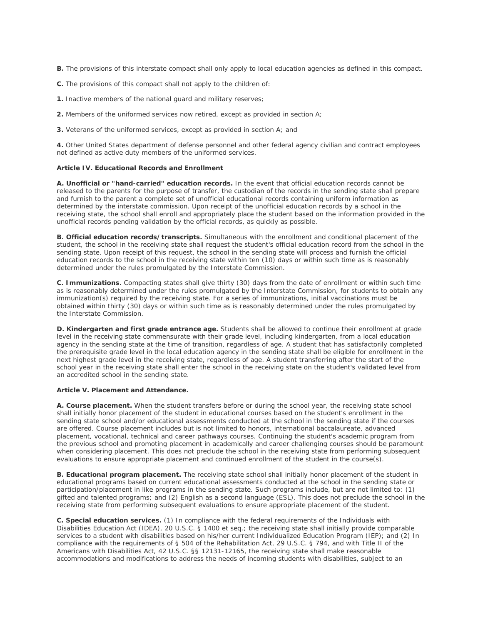**B.** The provisions of this interstate compact shall only apply to local education agencies as defined in this compact.

- **C.** The provisions of this compact shall not apply to the children of:
- **1.** Inactive members of the national guard and military reserves;
- **2.** Members of the uniformed services now retired, except as provided in section A;
- **3.** Veterans of the uniformed services, except as provided in section A; and

**4.** Other United States department of defense personnel and other federal agency civilian and contract employees not defined as active duty members of the uniformed services.

## **Article IV. Educational Records and Enrollment**

**A. Unofficial or "hand-carried" education records.** In the event that official education records cannot be released to the parents for the purpose of transfer, the custodian of the records in the sending state shall prepare and furnish to the parent a complete set of unofficial educational records containing uniform information as determined by the interstate commission. Upon receipt of the unofficial education records by a school in the receiving state, the school shall enroll and appropriately place the student based on the information provided in the unofficial records pending validation by the official records, as quickly as possible.

**B. Official education records/transcripts.** Simultaneous with the enrollment and conditional placement of the student, the school in the receiving state shall request the student's official education record from the school in the sending state. Upon receipt of this request, the school in the sending state will process and furnish the official education records to the school in the receiving state within ten (10) days or within such time as is reasonably determined under the rules promulgated by the Interstate Commission.

**C. Immunizations.** Compacting states shall give thirty (30) days from the date of enrollment or within such time as is reasonably determined under the rules promulgated by the Interstate Commission, for students to obtain any immunization(s) required by the receiving state. For a series of immunizations, initial vaccinations must be obtained within thirty (30) days or within such time as is reasonably determined under the rules promulgated by the Interstate Commission.

**D. Kindergarten and first grade entrance age.** Students shall be allowed to continue their enrollment at grade level in the receiving state commensurate with their grade level, including kindergarten, from a local education agency in the sending state at the time of transition, regardless of age. A student that has satisfactorily completed the prerequisite grade level in the local education agency in the sending state shall be eligible for enrollment in the next highest grade level in the receiving state, regardless of age. A student transferring after the start of the school year in the receiving state shall enter the school in the receiving state on the student's validated level from an accredited school in the sending state.

## **Article V. Placement and Attendance.**

**A. Course placement.** When the student transfers before or during the school year, the receiving state school shall initially honor placement of the student in educational courses based on the student's enrollment in the sending state school and/or educational assessments conducted at the school in the sending state if the courses are offered. Course placement includes but is not limited to honors, international baccalaureate, advanced placement, vocational, technical and career pathways courses. Continuing the student's academic program from the previous school and promoting placement in academically and career challenging courses should be paramount when considering placement. This does not preclude the school in the receiving state from performing subsequent evaluations to ensure appropriate placement and continued enrollment of the student in the course(s).

**B. Educational program placement.** The receiving state school shall initially honor placement of the student in educational programs based on current educational assessments conducted at the school in the sending state or participation/placement in like programs in the sending state. Such programs include, but are not limited to: (1) gifted and talented programs; and (2) English as a second language (ESL). This does not preclude the school in the receiving state from performing subsequent evaluations to ensure appropriate placement of the student.

**C. Special education services.** (1) In compliance with the federal requirements of the Individuals with Disabilities Education Act (IDEA), 20 U.S.C. § 1400 et seq.; the receiving state shall initially provide comparable services to a student with disabilities based on his/her current Individualized Education Program (IEP); and (2) In compliance with the requirements of § 504 of the Rehabilitation Act, 29 U.S.C. § 794, and with Title II of the Americans with Disabilities Act, 42 U.S.C. §§ 12131-12165, the receiving state shall make reasonable accommodations and modifications to address the needs of incoming students with disabilities, subject to an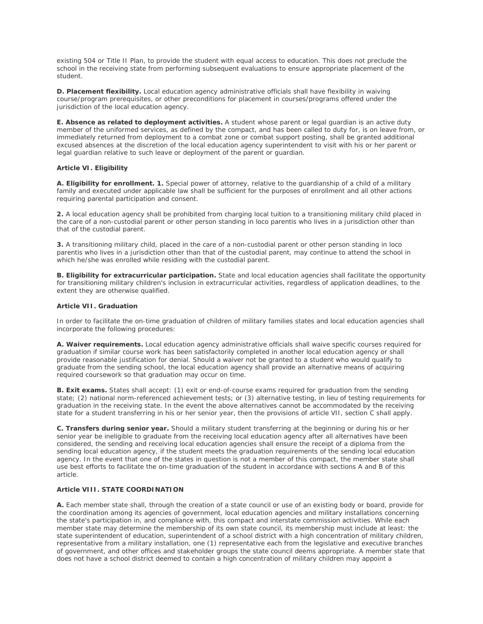existing 504 or Title II Plan, to provide the student with equal access to education. This does not preclude the school in the receiving state from performing subsequent evaluations to ensure appropriate placement of the student.

**D. Placement flexibility.** Local education agency administrative officials shall have flexibility in waiving course/program prerequisites, or other preconditions for placement in courses/programs offered under the jurisdiction of the local education agency.

**E. Absence as related to deployment activities.** A student whose parent or legal guardian is an active duty member of the uniformed services, as defined by the compact, and has been called to duty for, is on leave from, or immediately returned from deployment to a combat zone or combat support posting, shall be granted additional excused absences at the discretion of the local education agency superintendent to visit with his or her parent or legal guardian relative to such leave or deployment of the parent or guardian.

## **Article VI. Eligibility**

**A. Eligibility for enrollment. 1.** Special power of attorney, relative to the guardianship of a child of a military family and executed under applicable law shall be sufficient for the purposes of enrollment and all other actions requiring parental participation and consent.

**2.** A local education agency shall be prohibited from charging local tuition to a transitioning military child placed in the care of a non-custodial parent or other person standing in loco parentis who lives in a jurisdiction other than that of the custodial parent.

**3.** A transitioning military child, placed in the care of a non-custodial parent or other person standing in loco parentis who lives in a jurisdiction other than that of the custodial parent, may continue to attend the school in which he/she was enrolled while residing with the custodial parent.

**B. Eligibility for extracurricular participation.** State and local education agencies shall facilitate the opportunity for transitioning military children's inclusion in extracurricular activities, regardless of application deadlines, to the extent they are otherwise qualified.

# **Article VII. Graduation**

In order to facilitate the on-time graduation of children of military families states and local education agencies shall incorporate the following procedures:

**A. Waiver requirements.** Local education agency administrative officials shall waive specific courses required for graduation if similar course work has been satisfactorily completed in another local education agency or shall provide reasonable justification for denial. Should a waiver not be granted to a student who would qualify to graduate from the sending school, the local education agency shall provide an alternative means of acquiring required coursework so that graduation may occur on time.

**B. Exit exams.** States shall accept: (1) exit or end-of-course exams required for graduation from the sending state; (2) national norm-referenced achievement tests; or (3) alternative testing, in lieu of testing requirements for graduation in the receiving state. In the event the above alternatives cannot be accommodated by the receiving state for a student transferring in his or her senior year, then the provisions of article VII, section C shall apply.

**C. Transfers during senior year.** Should a military student transferring at the beginning or during his or her senior year be ineligible to graduate from the receiving local education agency after all alternatives have been considered, the sending and receiving local education agencies shall ensure the receipt of a diploma from the sending local education agency, if the student meets the graduation requirements of the sending local education agency. In the event that one of the states in question is not a member of this compact, the member state shall use best efforts to facilitate the on-time graduation of the student in accordance with sections A and B of this article.

# **Article VIII. STATE COORDINATION**

**A.** Each member state shall, through the creation of a state council or use of an existing body or board, provide for the coordination among its agencies of government, local education agencies and military installations concerning the state's participation in, and compliance with, this compact and interstate commission activities. While each member state may determine the membership of its own state council, its membership must include at least: the state superintendent of education, superintendent of a school district with a high concentration of military children, representative from a military installation, one (1) representative each from the legislative and executive branches of government, and other offices and stakeholder groups the state council deems appropriate. A member state that does not have a school district deemed to contain a high concentration of military children may appoint a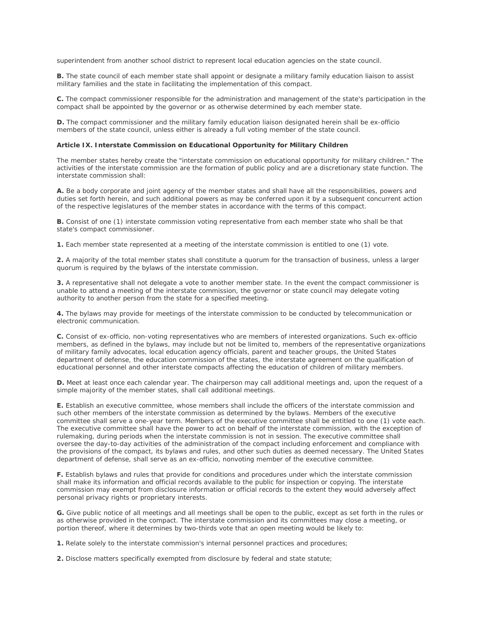superintendent from another school district to represent local education agencies on the state council.

**B.** The state council of each member state shall appoint or designate a military family education liaison to assist military families and the state in facilitating the implementation of this compact.

**C.** The compact commissioner responsible for the administration and management of the state's participation in the compact shall be appointed by the governor or as otherwise determined by each member state.

**D.** The compact commissioner and the military family education liaison designated herein shall be ex-officio members of the state council, unless either is already a full voting member of the state council.

### **Article IX. Interstate Commission on Educational Opportunity for Military Children**

The member states hereby create the "interstate commission on educational opportunity for military children." The activities of the interstate commission are the formation of public policy and are a discretionary state function. The interstate commission shall:

**A.** Be a body corporate and joint agency of the member states and shall have all the responsibilities, powers and duties set forth herein, and such additional powers as may be conferred upon it by a subsequent concurrent action of the respective legislatures of the member states in accordance with the terms of this compact.

**B.** Consist of one (1) interstate commission voting representative from each member state who shall be that state's compact commissioner.

**1.** Each member state represented at a meeting of the interstate commission is entitled to one (1) vote.

**2.** A majority of the total member states shall constitute a quorum for the transaction of business, unless a larger quorum is required by the bylaws of the interstate commission.

**3.** A representative shall not delegate a vote to another member state. In the event the compact commissioner is unable to attend a meeting of the interstate commission, the governor or state council may delegate voting authority to another person from the state for a specified meeting.

**4.** The bylaws may provide for meetings of the interstate commission to be conducted by telecommunication or electronic communication.

**C.** Consist of ex-officio, non-voting representatives who are members of interested organizations. Such ex-officio members, as defined in the bylaws, may include but not be limited to, members of the representative organizations of military family advocates, local education agency officials, parent and teacher groups, the United States department of defense, the education commission of the states, the interstate agreement on the qualification of educational personnel and other interstate compacts affecting the education of children of military members.

**D.** Meet at least once each calendar year. The chairperson may call additional meetings and, upon the request of a simple majority of the member states, shall call additional meetings.

**E.** Establish an executive committee, whose members shall include the officers of the interstate commission and such other members of the interstate commission as determined by the bylaws. Members of the executive committee shall serve a one-year term. Members of the executive committee shall be entitled to one (1) vote each. The executive committee shall have the power to act on behalf of the interstate commission, with the exception of rulemaking, during periods when the interstate commission is not in session. The executive committee shall oversee the day-to-day activities of the administration of the compact including enforcement and compliance with the provisions of the compact, its bylaws and rules, and other such duties as deemed necessary. The United States department of defense, shall serve as an ex-officio, nonvoting member of the executive committee.

**F.** Establish bylaws and rules that provide for conditions and procedures under which the interstate commission shall make its information and official records available to the public for inspection or copying. The interstate commission may exempt from disclosure information or official records to the extent they would adversely affect personal privacy rights or proprietary interests.

**G.** Give public notice of all meetings and all meetings shall be open to the public, except as set forth in the rules or as otherwise provided in the compact. The interstate commission and its committees may close a meeting, or portion thereof, where it determines by two-thirds vote that an open meeting would be likely to:

**1.** Relate solely to the interstate commission's internal personnel practices and procedures;

**2.** Disclose matters specifically exempted from disclosure by federal and state statute;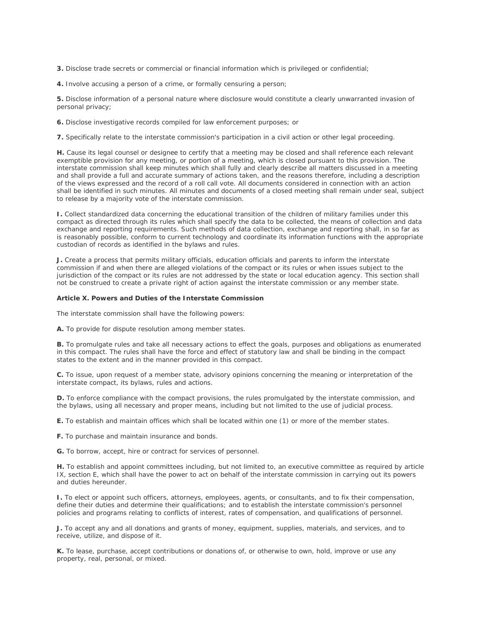**3.** Disclose trade secrets or commercial or financial information which is privileged or confidential;

**4.** Involve accusing a person of a crime, or formally censuring a person;

**5.** Disclose information of a personal nature where disclosure would constitute a clearly unwarranted invasion of personal privacy;

**6.** Disclose investigative records compiled for law enforcement purposes; or

**7.** Specifically relate to the interstate commission's participation in a civil action or other legal proceeding.

**H.** Cause its legal counsel or designee to certify that a meeting may be closed and shall reference each relevant exemptible provision for any meeting, or portion of a meeting, which is closed pursuant to this provision. The interstate commission shall keep minutes which shall fully and clearly describe all matters discussed in a meeting and shall provide a full and accurate summary of actions taken, and the reasons therefore, including a description of the views expressed and the record of a roll call vote. All documents considered in connection with an action shall be identified in such minutes. All minutes and documents of a closed meeting shall remain under seal, subject to release by a majority vote of the interstate commission.

**I.** Collect standardized data concerning the educational transition of the children of military families under this compact as directed through its rules which shall specify the data to be collected, the means of collection and data exchange and reporting requirements. Such methods of data collection, exchange and reporting shall, in so far as is reasonably possible, conform to current technology and coordinate its information functions with the appropriate custodian of records as identified in the bylaws and rules.

**J.** Create a process that permits military officials, education officials and parents to inform the interstate commission if and when there are alleged violations of the compact or its rules or when issues subject to the jurisdiction of the compact or its rules are not addressed by the state or local education agency. This section shall not be construed to create a private right of action against the interstate commission or any member state.

## **Article X. Powers and Duties of the Interstate Commission**

The interstate commission shall have the following powers:

**A.** To provide for dispute resolution among member states.

**B.** To promulgate rules and take all necessary actions to effect the goals, purposes and obligations as enumerated in this compact. The rules shall have the force and effect of statutory law and shall be binding in the compact states to the extent and in the manner provided in this compact.

**C.** To issue, upon request of a member state, advisory opinions concerning the meaning or interpretation of the interstate compact, its bylaws, rules and actions.

**D.** To enforce compliance with the compact provisions, the rules promulgated by the interstate commission, and the bylaws, using all necessary and proper means, including but not limited to the use of judicial process.

**E.** To establish and maintain offices which shall be located within one (1) or more of the member states.

**F.** To purchase and maintain insurance and bonds.

**G.** To borrow, accept, hire or contract for services of personnel.

**H.** To establish and appoint committees including, but not limited to, an executive committee as required by article IX, section E, which shall have the power to act on behalf of the interstate commission in carrying out its powers and duties hereunder.

**I.** To elect or appoint such officers, attorneys, employees, agents, or consultants, and to fix their compensation, define their duties and determine their qualifications; and to establish the interstate commission's personnel policies and programs relating to conflicts of interest, rates of compensation, and qualifications of personnel.

**J.** To accept any and all donations and grants of money, equipment, supplies, materials, and services, and to receive, utilize, and dispose of it.

**K.** To lease, purchase, accept contributions or donations of, or otherwise to own, hold, improve or use any property, real, personal, or mixed.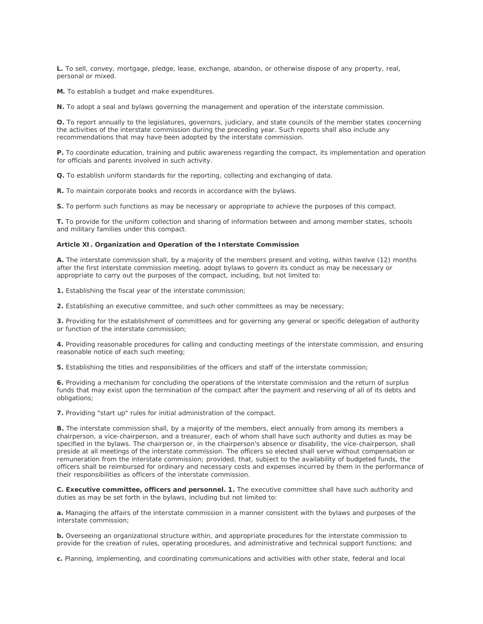**L.** To sell, convey, mortgage, pledge, lease, exchange, abandon, or otherwise dispose of any property, real, personal or mixed.

**M.** To establish a budget and make expenditures.

**N.** To adopt a seal and bylaws governing the management and operation of the interstate commission.

**O.** To report annually to the legislatures, governors, judiciary, and state councils of the member states concerning the activities of the interstate commission during the preceding year. Such reports shall also include any recommendations that may have been adopted by the interstate commission.

**P.** To coordinate education, training and public awareness regarding the compact, its implementation and operation for officials and parents involved in such activity.

**Q.** To establish uniform standards for the reporting, collecting and exchanging of data.

**R.** To maintain corporate books and records in accordance with the bylaws.

**S.** To perform such functions as may be necessary or appropriate to achieve the purposes of this compact.

**T.** To provide for the uniform collection and sharing of information between and among member states, schools and military families under this compact.

### **Article XI. Organization and Operation of the Interstate Commission**

**A.** The interstate commission shall, by a majority of the members present and voting, within twelve (12) months after the first interstate commission meeting, adopt bylaws to govern its conduct as may be necessary or appropriate to carry out the purposes of the compact, including, but not limited to:

**1.** Establishing the fiscal year of the interstate commission;

**2.** Establishing an executive committee, and such other committees as may be necessary;

**3.** Providing for the establishment of committees and for governing any general or specific delegation of authority or function of the interstate commission;

**4.** Providing reasonable procedures for calling and conducting meetings of the interstate commission, and ensuring reasonable notice of each such meeting;

**5.** Establishing the titles and responsibilities of the officers and staff of the interstate commission;

**6.** Providing a mechanism for concluding the operations of the interstate commission and the return of surplus funds that may exist upon the termination of the compact after the payment and reserving of all of its debts and obligations;

**7.** Providing "start up" rules for initial administration of the compact.

**B.** The interstate commission shall, by a majority of the members, elect annually from among its members a chairperson, a vice-chairperson, and a treasurer, each of whom shall have such authority and duties as may be specified in the bylaws. The chairperson or, in the chairperson's absence or disability, the vice-chairperson, shall preside at all meetings of the interstate commission. The officers so elected shall serve without compensation or remuneration from the interstate commission; provided, that, subject to the availability of budgeted funds, the officers shall be reimbursed for ordinary and necessary costs and expenses incurred by them in the performance of their responsibilities as officers of the interstate commission.

**C. Executive committee, officers and personnel. 1.** The executive committee shall have such authority and duties as may be set forth in the bylaws, including but not limited to:

**a.** Managing the affairs of the interstate commission in a manner consistent with the bylaws and purposes of the interstate commission;

**b.** Overseeing an organizational structure within, and appropriate procedures for the interstate commission to provide for the creation of rules, operating procedures, and administrative and technical support functions; and

**c.** Planning, implementing, and coordinating communications and activities with other state, federal and local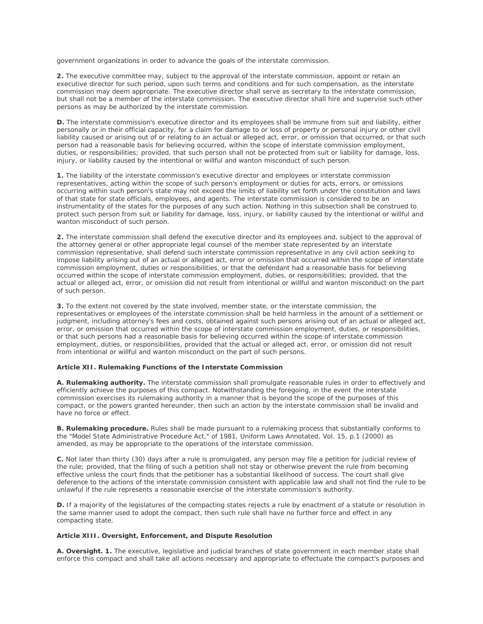government organizations in order to advance the goals of the interstate commission.

**2.** The executive committee may, subject to the approval of the interstate commission, appoint or retain an executive director for such period, upon such terms and conditions and for such compensation, as the interstate commission may deem appropriate. The executive director shall serve as secretary to the interstate commission, but shall not be a member of the interstate commission. The executive director shall hire and supervise such other persons as may be authorized by the interstate commission.

**D.** The interstate commission's executive director and its employees shall be immune from suit and liability, either personally or in their official capacity, for a claim for damage to or loss of property or personal injury or other civil liability caused or arising out of or relating to an actual or alleged act, error, or omission that occurred, or that such person had a reasonable basis for believing occurred, within the scope of interstate commission employment, duties, or responsibilities; provided, that such person shall not be protected from suit or liability for damage, loss, injury, or liability caused by the intentional or willful and wanton misconduct of such person.

**1.** The liability of the interstate commission's executive director and employees or interstate commission representatives, acting within the scope of such person's employment or duties for acts, errors, or omissions occurring within such person's state may not exceed the limits of liability set forth under the constitution and laws of that state for state officials, employees, and agents. The interstate commission is considered to be an instrumentality of the states for the purposes of any such action. Nothing in this subsection shall be construed to protect such person from suit or liability for damage, loss, injury, or liability caused by the intentional or willful and wanton misconduct of such person.

**2.** The interstate commission shall defend the executive director and its employees and, subject to the approval of the attorney general or other appropriate legal counsel of the member state represented by an interstate commission representative, shall defend such interstate commission representative in any civil action seeking to impose liability arising out of an actual or alleged act, error or omission that occurred within the scope of interstate commission employment, duties or responsibilities, or that the defendant had a reasonable basis for believing occurred within the scope of interstate commission employment, duties, or responsibilities; provided, that the actual or alleged act, error, or omission did not result from intentional or willful and wanton misconduct on the part of such person.

**3.** To the extent not covered by the state involved, member state, or the interstate commission, the representatives or employees of the interstate commission shall be held harmless in the amount of a settlement or judgment, including attorney's fees and costs, obtained against such persons arising out of an actual or alleged act, error, or omission that occurred within the scope of interstate commission employment, duties, or responsibilities, or that such persons had a reasonable basis for believing occurred within the scope of interstate commission employment, duties, or responsibilities, provided that the actual or alleged act, error, or omission did not result from intentional or willful and wanton misconduct on the part of such persons.

## **Article XII. Rulemaking Functions of the Interstate Commission**

**A. Rulemaking authority.** The interstate commission shall promulgate reasonable rules in order to effectively and efficiently achieve the purposes of this compact. Notwithstanding the foregoing, in the event the interstate commission exercises its rulemaking authority in a manner that is beyond the scope of the purposes of this compact, or the powers granted hereunder, then such an action by the interstate commission shall be invalid and have no force or effect.

**B. Rulemaking procedure.** Rules shall be made pursuant to a rulemaking process that substantially conforms to the "Model State Administrative Procedure Act," of 1981, Uniform Laws Annotated, Vol. 15, p.1 (2000) as amended, as may be appropriate to the operations of the interstate commission.

**C.** Not later than thirty (30) days after a rule is promulgated, any person may file a petition for judicial review of the rule; provided, that the filing of such a petition shall not stay or otherwise prevent the rule from becoming effective unless the court finds that the petitioner has a substantial likelihood of success. The court shall give deference to the actions of the interstate commission consistent with applicable law and shall not find the rule to be unlawful if the rule represents a reasonable exercise of the interstate commission's authority.

**D.** If a majority of the legislatures of the compacting states rejects a rule by enactment of a statute or resolution in the same manner used to adopt the compact, then such rule shall have no further force and effect in any compacting state.

# **Article XIII. Oversight, Enforcement, and Dispute Resolution**

**A. Oversight. 1.** The executive, legislative and judicial branches of state government in each member state shall enforce this compact and shall take all actions necessary and appropriate to effectuate the compact's purposes and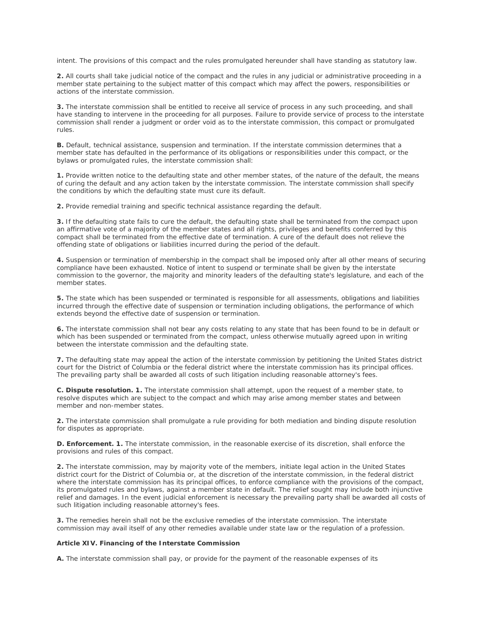intent. The provisions of this compact and the rules promulgated hereunder shall have standing as statutory law.

**2.** All courts shall take judicial notice of the compact and the rules in any judicial or administrative proceeding in a member state pertaining to the subject matter of this compact which may affect the powers, responsibilities or actions of the interstate commission.

**3.** The interstate commission shall be entitled to receive all service of process in any such proceeding, and shall have standing to intervene in the proceeding for all purposes. Failure to provide service of process to the interstate commission shall render a judgment or order void as to the interstate commission, this compact or promulgated rules.

**B.** Default, technical assistance, suspension and termination. If the interstate commission determines that a member state has defaulted in the performance of its obligations or responsibilities under this compact, or the bylaws or promulgated rules, the interstate commission shall:

**1.** Provide written notice to the defaulting state and other member states, of the nature of the default, the means of curing the default and any action taken by the interstate commission. The interstate commission shall specify the conditions by which the defaulting state must cure its default.

**2.** Provide remedial training and specific technical assistance regarding the default.

**3.** If the defaulting state fails to cure the default, the defaulting state shall be terminated from the compact upon an affirmative vote of a majority of the member states and all rights, privileges and benefits conferred by this compact shall be terminated from the effective date of termination. A cure of the default does not relieve the offending state of obligations or liabilities incurred during the period of the default.

**4.** Suspension or termination of membership in the compact shall be imposed only after all other means of securing compliance have been exhausted. Notice of intent to suspend or terminate shall be given by the interstate commission to the governor, the majority and minority leaders of the defaulting state's legislature, and each of the member states.

**5.** The state which has been suspended or terminated is responsible for all assessments, obligations and liabilities incurred through the effective date of suspension or termination including obligations, the performance of which extends beyond the effective date of suspension or termination.

**6.** The interstate commission shall not bear any costs relating to any state that has been found to be in default or which has been suspended or terminated from the compact, unless otherwise mutually agreed upon in writing between the interstate commission and the defaulting state.

**7.** The defaulting state may appeal the action of the interstate commission by petitioning the United States district court for the District of Columbia or the federal district where the interstate commission has its principal offices. The prevailing party shall be awarded all costs of such litigation including reasonable attorney's fees.

**C. Dispute resolution. 1.** The interstate commission shall attempt, upon the request of a member state, to resolve disputes which are subject to the compact and which may arise among member states and between member and non-member states.

**2.** The interstate commission shall promulgate a rule providing for both mediation and binding dispute resolution for disputes as appropriate.

**D. Enforcement. 1.** The interstate commission, in the reasonable exercise of its discretion, shall enforce the provisions and rules of this compact.

**2.** The interstate commission, may by majority vote of the members, initiate legal action in the United States district court for the District of Columbia or, at the discretion of the interstate commission, in the federal district where the interstate commission has its principal offices, to enforce compliance with the provisions of the compact, its promulgated rules and bylaws, against a member state in default. The relief sought may include both injunctive relief and damages. In the event judicial enforcement is necessary the prevailing party shall be awarded all costs of such litigation including reasonable attorney's fees.

**3.** The remedies herein shall not be the exclusive remedies of the interstate commission. The interstate commission may avail itself of any other remedies available under state law or the regulation of a profession.

## **Article XIV. Financing of the Interstate Commission**

**A.** The interstate commission shall pay, or provide for the payment of the reasonable expenses of its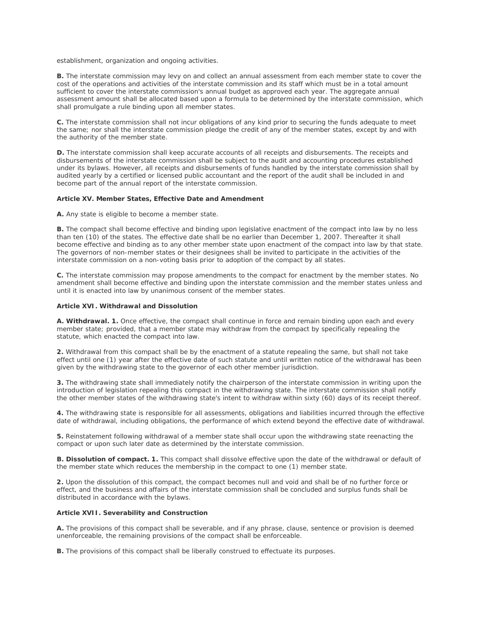establishment, organization and ongoing activities.

**B.** The interstate commission may levy on and collect an annual assessment from each member state to cover the cost of the operations and activities of the interstate commission and its staff which must be in a total amount sufficient to cover the interstate commission's annual budget as approved each year. The aggregate annual assessment amount shall be allocated based upon a formula to be determined by the interstate commission, which shall promulgate a rule binding upon all member states.

**C.** The interstate commission shall not incur obligations of any kind prior to securing the funds adequate to meet the same; nor shall the interstate commission pledge the credit of any of the member states, except by and with the authority of the member state.

**D.** The interstate commission shall keep accurate accounts of all receipts and disbursements. The receipts and disbursements of the interstate commission shall be subject to the audit and accounting procedures established under its bylaws. However, all receipts and disbursements of funds handled by the interstate commission shall by audited yearly by a certified or licensed public accountant and the report of the audit shall be included in and become part of the annual report of the interstate commission.

### **Article XV. Member States, Effective Date and Amendment**

**A.** Any state is eligible to become a member state.

**B.** The compact shall become effective and binding upon legislative enactment of the compact into law by no less than ten (10) of the states. The effective date shall be no earlier than December 1, 2007. Thereafter it shall become effective and binding as to any other member state upon enactment of the compact into law by that state. The governors of non-member states or their designees shall be invited to participate in the activities of the interstate commission on a non-voting basis prior to adoption of the compact by all states.

**C.** The interstate commission may propose amendments to the compact for enactment by the member states. No amendment shall become effective and binding upon the interstate commission and the member states unless and until it is enacted into law by unanimous consent of the member states.

### **Article XVI. Withdrawal and Dissolution**

**A. Withdrawal. 1.** Once effective, the compact shall continue in force and remain binding upon each and every member state; provided, that a member state may withdraw from the compact by specifically repealing the statute, which enacted the compact into law.

**2.** Withdrawal from this compact shall be by the enactment of a statute repealing the same, but shall not take effect until one (1) year after the effective date of such statute and until written notice of the withdrawal has been given by the withdrawing state to the governor of each other member jurisdiction.

**3.** The withdrawing state shall immediately notify the chairperson of the interstate commission in writing upon the introduction of legislation repealing this compact in the withdrawing state. The interstate commission shall notify the other member states of the withdrawing state's intent to withdraw within sixty (60) days of its receipt thereof.

**4.** The withdrawing state is responsible for all assessments, obligations and liabilities incurred through the effective date of withdrawal, including obligations, the performance of which extend beyond the effective date of withdrawal.

**5.** Reinstatement following withdrawal of a member state shall occur upon the withdrawing state reenacting the compact or upon such later date as determined by the interstate commission.

**B. Dissolution of compact. 1.** This compact shall dissolve effective upon the date of the withdrawal or default of the member state which reduces the membership in the compact to one (1) member state.

**2.** Upon the dissolution of this compact, the compact becomes null and void and shall be of no further force or effect, and the business and affairs of the interstate commission shall be concluded and surplus funds shall be distributed in accordance with the bylaws.

## **Article XVII. Severability and Construction**

**A.** The provisions of this compact shall be severable, and if any phrase, clause, sentence or provision is deemed unenforceable, the remaining provisions of the compact shall be enforceable.

**B.** The provisions of this compact shall be liberally construed to effectuate its purposes.